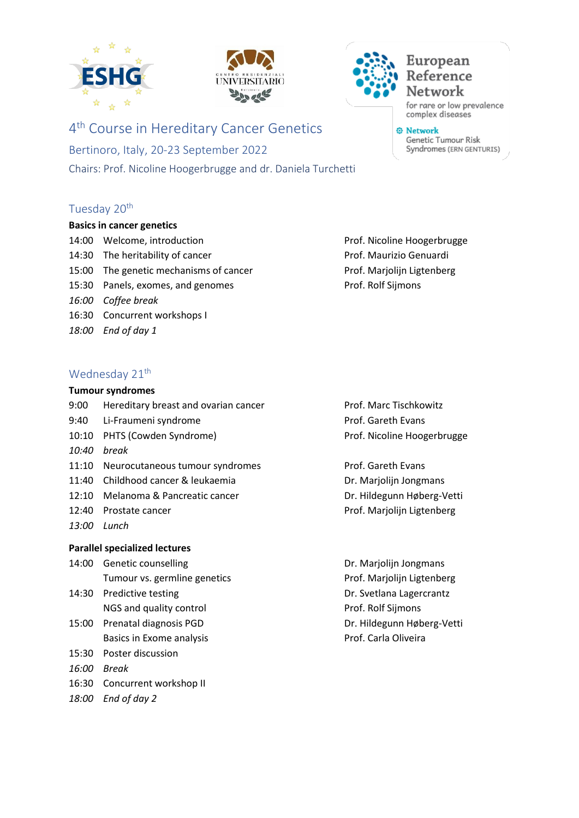





4<sup>th</sup> Course in Hereditary Cancer Genetics

Bertinoro, Italy, 20-23 September 2022 Chairs: Prof. Nicoline Hoogerbrugge and dr. Daniela Turchetti

# Tuesday 20<sup>th</sup>

#### **Basics in cancer genetics**

- 14:00 Welcome, introduction example and prof. Nicoline Hoogerbrugge 14:30 The heritability of cancer **Prof. Maurizio Genuardi** 15:00 The genetic mechanisms of cancer Prof. Marjolijn Ligtenberg 15:30 Panels, exomes, and genomes example and the Prof. Rolf Sijmons *16:00 Coffee break* 16:30 Concurrent workshops I *18:00 End of day 1*
- Wednesday 21<sup>th</sup>

16:30 Concurrent workshop II

*18:00 End of day 2*

# **Tumour syndromes** 9:00 Hereditary breast and ovarian cancer Prof. Marc Tischkowitz 9:40 Li-Fraumeni syndrome **Prof.** Gareth Evans 10:10 PHTS (Cowden Syndrome) example and the Prof. Nicoline Hoogerbrugge *10:40 break* 11:10 Neurocutaneous tumour syndromes Prof. Gareth Evans 11:40 Childhood cancer & leukaemia Dr. Marjolijn Jongmans 12:10 Melanoma & Pancreatic cancer **DR. Hildegunn Høberg-Vetti** 12:40 Prostate cancer **Prof. Marjolijn Ligtenberg** *13:00 Lunch* **Parallel specialized lectures** 14:00 Genetic counselling Camera Communication Control Dr. Marjolijn Jongmans Tumour vs. germline genetics entitled and the Prof. Marjolijn Ligtenberg

14:30 Predictive testing example and the Dr. Svetlana Lagercrantz NGS and quality control **Prof. Rolf Sijmons** 15:00 Prenatal diagnosis PGD Dr. Hildegunn Høberg-Vetti Basics in Exome analysis **Basics** in Exome analysis **Prof.** Carla Oliveira 15:30 Poster discussion *16:00 Break*

complex diseases

Genetic Tumour Risk Syndromes (ERN GENTURIS)

**O** Network